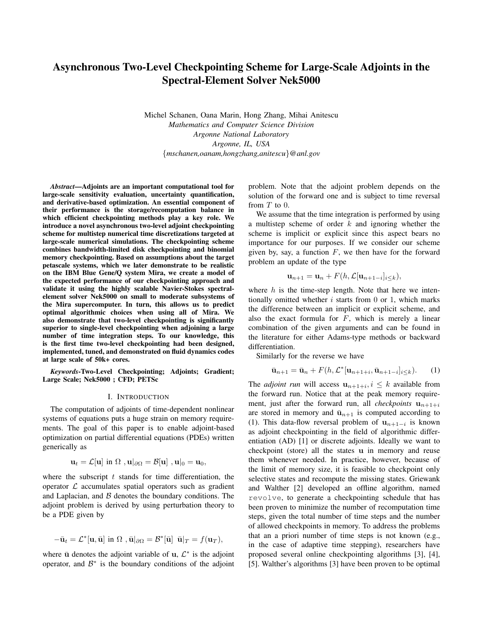# Asynchronous Two-Level Checkpointing Scheme for Large-Scale Adjoints in the Spectral-Element Solver Nek5000

Michel Schanen, Oana Marin, Hong Zhang, Mihai Anitescu *Mathematics and Computer Science Division Argonne National Laboratory Argonne, IL, USA* {*mschanen,oanam,hongzhang,anitescu*}*@anl.gov*

*Abstract*—Adjoints are an important computational tool for large-scale sensitivity evaluation, uncertainty quantification, and derivative-based optimization. An essential component of their performance is the storage/recomputation balance in which efficient checkpointing methods play a key role. We introduce a novel asynchronous two-level adjoint checkpointing scheme for multistep numerical time discretizations targeted at large-scale numerical simulations. The checkpointing scheme combines bandwidth-limited disk checkpointing and binomial memory checkpointing. Based on assumptions about the target petascale systems, which we later demonstrate to be realistic on the IBM Blue Gene/Q system Mira, we create a model of the expected performance of our checkpointing approach and validate it using the highly scalable Navier-Stokes spectralelement solver Nek5000 on small to moderate subsystems of the Mira supercomputer. In turn, this allows us to predict optimal algorithmic choices when using all of Mira. We also demonstrate that two-level checkpointing is significantly superior to single-level checkpointing when adjoining a large number of time integration steps. To our knowledge, this is the first time two-level checkpointing had been designed, implemented, tuned, and demonstrated on fluid dynamics codes at large scale of 50k+ cores.

*Keywords*-Two-Level Checkpointing; Adjoints; Gradient; Large Scale; Nek5000 ; CFD; PETSc

#### I. INTRODUCTION

The computation of adjoints of time-dependent nonlinear systems of equations puts a huge strain on memory requirements. The goal of this paper is to enable adjoint-based optimization on partial differential equations (PDEs) written generically as

$$
\mathbf{u}_t = \mathcal{L}[\mathbf{u}] \text{ in } \Omega \text{ , } \mathbf{u}|_{\partial\Omega} = \mathcal{B}[\mathbf{u}] \text{ , } \mathbf{u}|_0 = \mathbf{u}_0,
$$

where the subscript  $t$  stands for time differentiation, the operator  $\mathcal L$  accumulates spatial operators such as gradient and Laplacian, and  $\beta$  denotes the boundary conditions. The adjoint problem is derived by using perturbation theory to be a PDE given by

$$
-\bar{\mathbf{u}}_t = \mathcal{L}^*[\mathbf{u}, \bar{\mathbf{u}}] \text{ in } \Omega, \quad \bar{\mathbf{u}}|_{\partial\Omega} = \mathcal{B}^*[\bar{\mathbf{u}}] \bar{\mathbf{u}}|_T = f(\mathbf{u}_T),
$$

where  $\bar{u}$  denotes the adjoint variable of  $u, \mathcal{L}^*$  is the adjoint operator, and  $\mathcal{B}^*$  is the boundary conditions of the adjoint problem. Note that the adjoint problem depends on the solution of the forward one and is subject to time reversal from  $T$  to  $0$ .

We assume that the time integration is performed by using a multistep scheme of order  $k$  and ignoring whether the scheme is implicit or explicit since this aspect bears no importance for our purposes. If we consider our scheme given by, say, a function  $F$ , we then have for the forward problem an update of the type

$$
\mathbf{u}_{n+1} = \mathbf{u}_n + F(h, \mathcal{L}[\mathbf{u}_{n+1-i}]_{i \leq k}),
$$

where  $h$  is the time-step length. Note that here we intentionally omitted whether  $i$  starts from 0 or 1, which marks the difference between an implicit or explicit scheme, and also the exact formula for  $F$ , which is merely a linear combination of the given arguments and can be found in the literature for either Adams-type methods or backward differentiation.

Similarly for the reverse we have

$$
\bar{\mathbf{u}}_{n+1} = \bar{\mathbf{u}}_n + F(h, \mathcal{L}^*[\mathbf{u}_{n+1+i}, \bar{\mathbf{u}}_{n+1-i}]_{i \le k}). \tag{1}
$$

The *adjoint run* will access  $\mathbf{u}_{n+1+i}, i \leq k$  available from the forward run. Notice that at the peak memory requirement, just after the forward run, all *checkpoints*  $u_{n+1+i}$ are stored in memory and  $\bar{u}_{n+1}$  is computed according to (1). This data-flow reversal problem of  $\mathbf{u}_{n+1-i}$  is known as adjoint checkpointing in the field of algorithmic differentiation (AD) [1] or discrete adjoints. Ideally we want to checkpoint (store) all the states u in memory and reuse them whenever needed. In practice, however, because of the limit of memory size, it is feasible to checkpoint only selective states and recompute the missing states. Griewank and Walther [2] developed an offline algorithm, named revolve, to generate a checkpointing schedule that has been proven to minimize the number of recomputation time steps, given the total number of time steps and the number of allowed checkpoints in memory. To address the problems that an a priori number of time steps is not known (e.g., in the case of adaptive time stepping), researchers have proposed several online checkpointing algorithms [3], [4], [5]. Walther's algorithms [3] have been proven to be optimal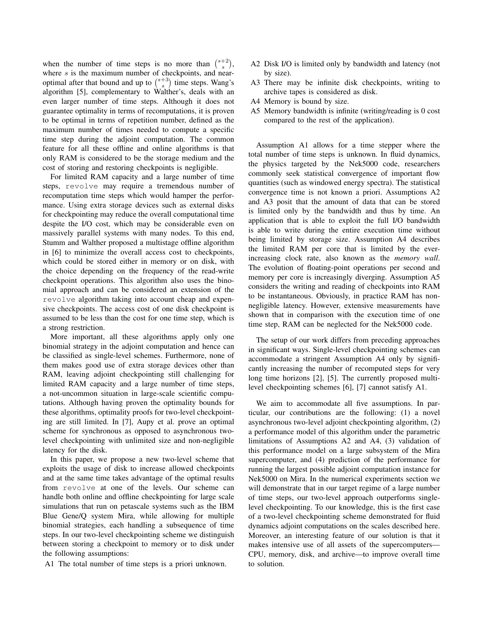when the number of time steps is no more than  $\binom{s+2}{s}$ , where  $s$  is the maximum number of checkpoints, and nearoptimal after that bound and up to  $\binom{s+3}{s}$  time steps. Wang's algorithm [5], complementary to Walther's, deals with an even larger number of time steps. Although it does not guarantee optimality in terms of recomputations, it is proven to be optimal in terms of repetition number, defined as the maximum number of times needed to compute a specific time step during the adjoint computation. The common feature for all these offline and online algorithms is that only RAM is considered to be the storage medium and the cost of storing and restoring checkpoints is negligible.

For limited RAM capacity and a large number of time steps, revolve may require a tremendous number of recomputation time steps which would hamper the performance. Using extra storage devices such as external disks for checkpointing may reduce the overall computational time despite the I/O cost, which may be considerable even on massively parallel systems with many nodes. To this end, Stumm and Walther proposed a multistage offline algorithm in [6] to minimize the overall access cost to checkpoints, which could be stored either in memory or on disk, with the choice depending on the frequency of the read-write checkpoint operations. This algorithm also uses the binomial approach and can be considered an extension of the revolve algorithm taking into account cheap and expensive checkpoints. The access cost of one disk checkpoint is assumed to be less than the cost for one time step, which is a strong restriction.

More important, all these algorithms apply only one binomial strategy in the adjoint computation and hence can be classified as single-level schemes. Furthermore, none of them makes good use of extra storage devices other than RAM, leaving adjoint checkpointing still challenging for limited RAM capacity and a large number of time steps, a not-uncommon situation in large-scale scientific computations. Although having proven the optimality bounds for these algorithms, optimality proofs for two-level checkpointing are still limited. In [7], Aupy et al. prove an optimal scheme for synchronous as opposed to asynchronous twolevel checkpointing with unlimited size and non-negligible latency for the disk.

In this paper, we propose a new two-level scheme that exploits the usage of disk to increase allowed checkpoints and at the same time takes advantage of the optimal results from revolve at one of the levels. Our scheme can handle both online and offline checkpointing for large scale simulations that run on petascale systems such as the IBM Blue Gene/Q system Mira, while allowing for multiple binomial strategies, each handling a subsequence of time steps. In our two-level checkpointing scheme we distinguish between storing a checkpoint to memory or to disk under the following assumptions:

A1 The total number of time steps is a priori unknown.

- A2 Disk I/O is limited only by bandwidth and latency (not by size).
- A3 There may be infinite disk checkpoints, writing to archive tapes is considered as disk.
- A4 Memory is bound by size.
- A5 Memory bandwidth is infinite (writing/reading is 0 cost compared to the rest of the application).

Assumption A1 allows for a time stepper where the total number of time steps is unknown. In fluid dynamics, the physics targeted by the Nek5000 code, researchers commonly seek statistical convergence of important flow quantities (such as windowed energy spectra). The statistical convergence time is not known a priori. Assumptions A2 and A3 posit that the amount of data that can be stored is limited only by the bandwidth and thus by time. An application that is able to exploit the full I/O bandwidth is able to write during the entire execution time without being limited by storage size. Assumption A4 describes the limited RAM per core that is limited by the everincreasing clock rate, also known as the *memory wall*. The evolution of floating-point operations per second and memory per core is increasingly diverging. Assumption A5 considers the writing and reading of checkpoints into RAM to be instantaneous. Obviously, in practice RAM has nonnegligible latency. However, extensive measurements have shown that in comparison with the execution time of one time step, RAM can be neglected for the Nek5000 code.

The setup of our work differs from preceding approaches in significant ways. Single-level checkpointing schemes can accommodate a stringent Assumption A4 only by significantly increasing the number of recomputed steps for very long time horizons [2], [5]. The currently proposed multilevel checkpointing schemes [6], [7] cannot satisfy A1.

We aim to accommodate all five assumptions. In particular, our contributions are the following: (1) a novel asynchronous two-level adjoint checkpointing algorithm, (2) a performance model of this algorithm under the parametric limitations of Assumptions A2 and A4, (3) validation of this performance model on a large subsystem of the Mira supercomputer, and (4) prediction of the performance for running the largest possible adjoint computation instance for Nek5000 on Mira. In the numerical experiments section we will demonstrate that in our target regime of a large number of time steps, our two-level approach outperforms singlelevel checkpointing. To our knowledge, this is the first case of a two-level checkpointing scheme demonstrated for fluid dynamics adjoint computations on the scales described here. Moreover, an interesting feature of our solution is that it makes intensive use of all assets of the supercomputers— CPU, memory, disk, and archive—to improve overall time to solution.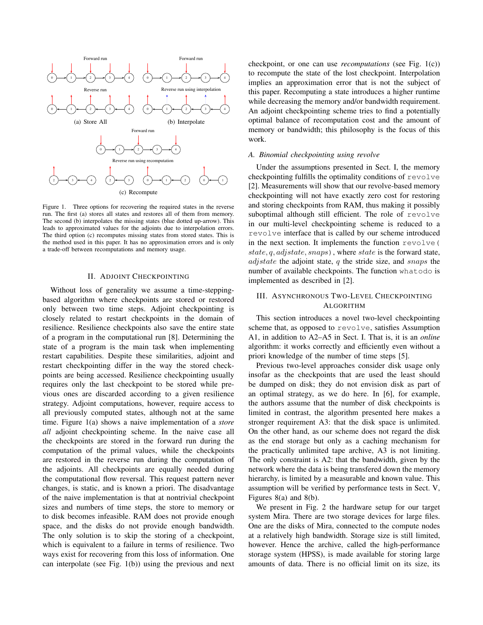

Figure 1. Three options for recovering the required states in the reverse run. The first (a) stores all states and restores all of them from memory. The second (b) interpolates the missing states (blue dotted up-arrow). This leads to approximated values for the adjoints due to interpolation errors. The third option (c) recomputes missing states from stored states. This is the method used in this paper. It has no approximation errors and is only a trade-off between recomputations and memory usage.

#### II. ADJOINT CHECKPOINTING

Without loss of generality we assume a time-steppingbased algorithm where checkpoints are stored or restored only between two time steps. Adjoint checkpointing is closely related to restart checkpoints in the domain of resilience. Resilience checkpoints also save the entire state of a program in the computational run [8]. Determining the state of a program is the main task when implementing restart capabilities. Despite these similarities, adjoint and restart checkpointing differ in the way the stored checkpoints are being accessed. Resilience checkpointing usually requires only the last checkpoint to be stored while previous ones are discarded according to a given resilience strategy. Adjoint computations, however, require access to all previously computed states, although not at the same time. Figure 1(a) shows a naive implementation of a *store all* adjoint checkpointing scheme. In the naive case all the checkpoints are stored in the forward run during the computation of the primal values, while the checkpoints are restored in the reverse run during the computation of the adjoints. All checkpoints are equally needed during the computational flow reversal. This request pattern never changes, is static, and is known a priori. The disadvantage of the naive implementation is that at nontrivial checkpoint sizes and numbers of time steps, the store to memory or to disk becomes infeasible. RAM does not provide enough space, and the disks do not provide enough bandwidth. The only solution is to skip the storing of a checkpoint, which is equivalent to a failure in terms of resilience. Two ways exist for recovering from this loss of information. One can interpolate (see Fig. 1(b)) using the previous and next checkpoint, or one can use *recomputations* (see Fig. 1(c)) to recompute the state of the lost checkpoint. Interpolation implies an approximation error that is not the subject of this paper. Recomputing a state introduces a higher runtime while decreasing the memory and/or bandwidth requirement. An adjoint checkpointing scheme tries to find a potentially optimal balance of recomputation cost and the amount of memory or bandwidth; this philosophy is the focus of this work.

# *A. Binomial checkpointing using revolve*

Under the assumptions presented in Sect. I, the memory checkpointing fulfills the optimality conditions of revolve [2]. Measurements will show that our revolve-based memory checkpointing will not have exactly zero cost for restoring and storing checkpoints from RAM, thus making it possibly suboptimal although still efficient. The role of revolve in our multi-level checkpointing scheme is reduced to a revolve interface that is called by our scheme introduced in the next section. It implements the function revolve( state,  $q$ ,  $adjstate$ ,  $snaps$ ), where state is the forward state, *adjstate* the adjoint state,  $q$  the stride size, and *snaps* the number of available checkpoints. The function whatodo is implemented as described in [2].

# III. ASYNCHRONOUS TWO-LEVEL CHECKPOINTING ALGORITHM

This section introduces a novel two-level checkpointing scheme that, as opposed to revolve, satisfies Assumption A1, in addition to A2–A5 in Sect. I. That is, it is an *online* algorithm: it works correctly and efficiently even without a priori knowledge of the number of time steps [5].

Previous two-level approaches consider disk usage only insofar as the checkpoints that are used the least should be dumped on disk; they do not envision disk as part of an optimal strategy, as we do here. In [6], for example, the authors assume that the number of disk checkpoints is limited in contrast, the algorithm presented here makes a stronger requirement A3: that the disk space is unlimited. On the other hand, as our scheme does not regard the disk as the end storage but only as a caching mechanism for the practically unlimited tape archive, A3 is not limiting. The only constraint is A2: that the bandwidth, given by the network where the data is being transfered down the memory hierarchy, is limited by a measurable and known value. This assumption will be verified by performance tests in Sect. V, Figures 8(a) and 8(b).

We present in Fig. 2 the hardware setup for our target system Mira. There are two storage devices for large files. One are the disks of Mira, connected to the compute nodes at a relatively high bandwidth. Storage size is still limited, however. Hence the archive, called the high-performance storage system (HPSS), is made available for storing large amounts of data. There is no official limit on its size, its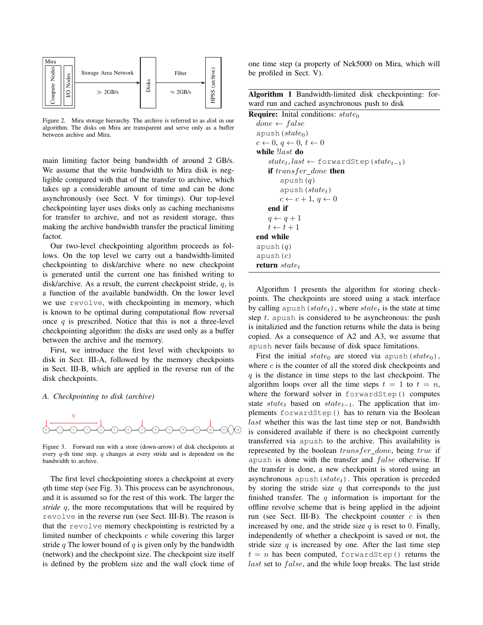

Figure 2. Mira storage hierarchy. The archive is referred to as *disk* in our algorithm. The disks on Mira are transparent and serve only as a buffer between archive and Mira.

main limiting factor being bandwidth of around 2 GB/s. We assume that the write bandwidth to Mira disk is negligible compared with that of the transfer to archive, which takes up a considerable amount of time and can be done asynchronously (see Sect. V for timings). Our top-level checkpointing layer uses disks only as caching mechanisms for transfer to archive, and not as resident storage, thus making the archive bandwidth transfer the practical limiting factor.

Our two-level checkpointing algorithm proceeds as follows. On the top level we carry out a bandwidth-limited checkpointing to disk/archive where no new checkpoint is generated until the current one has finished writing to disk/archive. As a result, the current checkpoint stride,  $q$ , is a function of the available bandwidth. On the lower level we use revolve, with checkpointing in memory, which is known to be optimal during computational flow reversal once  $q$  is prescribed. Notice that this is not a three-level checkpointing algorithm: the disks are used only as a buffer between the archive and the memory.

First, we introduce the first level with checkpoints to disk in Sect. III-A, followed by the memory checkpoints in Sect. III-B, which are applied in the reverse run of the disk checkpoints.

## *A. Checkpointing to disk (archive)*



Figure 3. Forward run with a store (down-arrow) of disk checkpoints at every  $q$ -th time step.  $q$  changes at every stride and is dependent on the bandwidth to archive.

The first level checkpointing stores a checkpoint at every qth time step (see Fig. 3). This process can be asynchronous, and it is assumed so for the rest of this work. The larger the *stride* q, the more recomputations that will be required by revolve in the reverse run (see Sect. III-B). The reason is that the revolve memory checkpointing is restricted by a limited number of checkpoints c while covering this larger stride q The lower bound of q is given only by the bandwidth (network) and the checkpoint size. The checkpoint size itself is defined by the problem size and the wall clock time of one time step (a property of Nek5000 on Mira, which will be profiled in Sect. V).

|                                               |  |  | Algorithm 1 Bandwidth-limited disk checkpointing: for- |  |
|-----------------------------------------------|--|--|--------------------------------------------------------|--|
| ward run and cached asynchronous push to disk |  |  |                                                        |  |

| <b>Require:</b> Initial conditions: $state_0$            |  |  |  |  |  |  |
|----------------------------------------------------------|--|--|--|--|--|--|
| $done \leftarrow false$                                  |  |  |  |  |  |  |
| apush $(state0)$                                         |  |  |  |  |  |  |
| $c \leftarrow 0, q \leftarrow 0, t \leftarrow 0$         |  |  |  |  |  |  |
| while <i>llast</i> do                                    |  |  |  |  |  |  |
| $state_t, last \leftarrow$ forwardStep ( $state_{t-1}$ ) |  |  |  |  |  |  |
| <b>if</b> transfer done then                             |  |  |  |  |  |  |
| apush(q)                                                 |  |  |  |  |  |  |
| apush $(statet)$                                         |  |  |  |  |  |  |
| $c \leftarrow c + 1, q \leftarrow 0$                     |  |  |  |  |  |  |
| end if                                                   |  |  |  |  |  |  |
| $q \leftarrow q + 1$                                     |  |  |  |  |  |  |
| $t \leftarrow t + 1$                                     |  |  |  |  |  |  |
| end while                                                |  |  |  |  |  |  |
| apush $(q)$                                              |  |  |  |  |  |  |
| apush $(c)$                                              |  |  |  |  |  |  |
| <b>return</b> state <sub>t</sub>                         |  |  |  |  |  |  |

Algorithm 1 presents the algorithm for storing checkpoints. The checkpoints are stored using a stack interface by calling apush (state<sub>t</sub>), where state<sub>t</sub> is the state at time step  $t$ . apush is considered to be asynchronous: the push is initalizied and the function returns while the data is being copied. As a consequence of A2 and A3, we assume that apush never fails because of disk space limitations.

First the initial  $state_0$  are stored via apush(state<sub>0</sub>), where  $c$  is the counter of all the stored disk checkpoints and  $q$  is the distance in time steps to the last checkpoint. The algorithm loops over all the time steps  $t = 1$  to  $t = n$ , where the forward solver in forwardStep() computes state state<sub>t</sub> based on state<sub>t−1</sub>. The application that implements forwardStep() has to return via the Boolean last whether this was the last time step or not. Bandwidth is considered available if there is no checkpoint currently transferred via apush to the archive. This availability is represented by the boolean transfer\_done, being true if apush is done with the transfer and  $false$  otherwise. If the transfer is done, a new checkpoint is stored using an asynchronous apush  $(state<sub>t</sub>)$ . This operation is preceded by storing the stride size  $q$  that corresponds to the just finished transfer. The  $q$  information is important for the offline revolve scheme that is being applied in the adjoint run (see Sect. III-B). The checkpoint counter  $c$  is then increased by one, and the stride size  $q$  is reset to 0. Finally, independently of whether a checkpoint is saved or not, the stride size  $q$  is increased by one. After the last time step  $t = n$  has been computed, forwardStep() returns the  $last$  set to  $false$ , and the while loop breaks. The last stride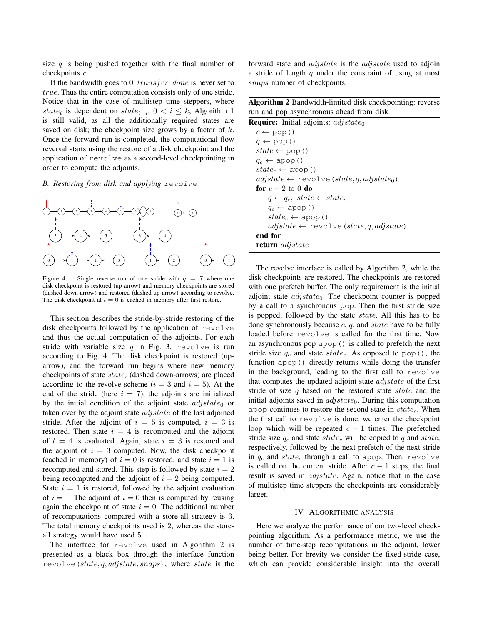size  $q$  is being pushed together with the final number of checkpoints c.

If the bandwidth goes to 0,  $transfer\_done$  is never set to true. Thus the entire computation consists only of one stride. Notice that in the case of multistep time steppers, where state<sub>t</sub> is dependent on state<sub>t−i</sub>,  $0 < i \leq k$ , Algorithm 1 is still valid, as all the additionally required states are saved on disk; the checkpoint size grows by a factor of  $k$ . Once the forward run is completed, the computational flow reversal starts using the restore of a disk checkpoint and the application of revolve as a second-level checkpointing in order to compute the adjoints.

## *B. Restoring from disk and applying* revolve



Figure 4. Single reverse run of one stride with  $q = 7$  where one disk checkpoint is restored (up-arrow) and memory checkpoints are stored (dashed down-arrow) and restored (dashed up-arrow) according to revolve. The disk checkpoint at  $t = 0$  is cached in memory after first restore.

This section describes the stride-by-stride restoring of the disk checkpoints followed by the application of revolve and thus the actual computation of the adjoints. For each stride with variable size  $q$  in Fig. 3, revolve is run according to Fig. 4. The disk checkpoint is restored (uparrow), and the forward run begins where new memory checkpoints of state  $state_i$  (dashed down-arrows) are placed according to the revolve scheme ( $i = 3$  and  $i = 5$ ). At the end of the stride (here  $i = 7$ ), the adjoints are initialized by the initial condition of the adjoint state  $adjstate_0$  or taken over by the adjoint state *adjstate* of the last adjoined stride. After the adjoint of  $i = 5$  is computed,  $i = 3$  is restored. Then state  $i = 4$  is recomputed and the adjoint of  $t = 4$  is evaluated. Again, state  $i = 3$  is restored and the adjoint of  $i = 3$  computed. Now, the disk checkpoint (cached in memory) of  $i = 0$  is restored, and state  $i = 1$  is recomputed and stored. This step is followed by state  $i = 2$ being recomputed and the adjoint of  $i = 2$  being computed. State  $i = 1$  is restored, followed by the adjoint evaluation of  $i = 1$ . The adjoint of  $i = 0$  then is computed by reusing again the checkpoint of state  $i = 0$ . The additional number of recomputations compared with a store-all strategy is 3. The total memory checkpoints used is 2, whereas the storeall strategy would have used 5.

The interface for revolve used in Algorithm 2 is presented as a black box through the interface function revolve (state, q, adjstate, snaps), where state is the forward state and adjstate is the adjstate used to adjoin a stride of length  $q$  under the constraint of using at most snaps number of checkpoints.

Algorithm 2 Bandwidth-limited disk checkpointing: reverse run and pop asynchronous ahead from disk

| <b>Require:</b> Initial adjoints: $adjstate_0$             |
|------------------------------------------------------------|
| $c \leftarrow \text{pop}()$                                |
| $q \leftarrow pop()$                                       |
| $state \leftarrow pop()$                                   |
| $q_c \leftarrow \text{apop}()$                             |
| $state_c \leftarrow$ apop ()                               |
| $adjstate \leftarrow \text{revolve}(state, q, adjstate_0)$ |
| for $c = 2$ to 0 do                                        |
| $q \leftarrow q_c$ , state $\leftarrow$ state <sub>c</sub> |
| $q_c \leftarrow \text{apop}(\cdot)$                        |
| $state_c \leftarrow$ apop()                                |
| $adjstate \leftarrow \text{revolve}(state, q, adjstate)$   |
| end for                                                    |
| <b>return</b> adjstate                                     |

The revolve interface is called by Algorithm 2, while the disk checkpoints are restored. The checkpoints are restored with one prefetch buffer. The only requirement is the initial adjoint state  $adjstate_0$ . The checkpoint counter is popped by a call to a synchronous pop. Then the first stride size is popped, followed by the state state. All this has to be done synchronously because  $c$ ,  $q$ , and state have to be fully loaded before revolve is called for the first time. Now an asynchronous pop apop() is called to prefetch the next stride size  $q_c$  and state state<sub>c</sub>. As opposed to pop(), the function apop() directly returns while doing the transfer in the background, leading to the first call to revolve that computes the updated adjoint state *adjstate* of the first stride of size  $q$  based on the restored state state and the initial adjoints saved in  $adjstate_0$ . During this computation apop continues to restore the second state in  $state_c$ . When the first call to revolve is done, we enter the checkpoint loop which will be repeated  $c - 1$  times. The prefetched stride size  $q_c$  and state  $state_c$  will be copied to q and state, respectively, followed by the next prefetch of the next stride in  $q_c$  and state<sub>c</sub> through a call to apop. Then, revolve is called on the current stride. After  $c - 1$  steps, the final result is saved in *adjstate*. Again, notice that in the case of multistep time steppers the checkpoints are considerably larger.

#### IV. ALGORITHMIC ANALYSIS

Here we analyze the performance of our two-level checkpointing algorithm. As a performance metric, we use the number of time-step recomputations in the adjoint, lower being better. For brevity we consider the fixed-stride case, which can provide considerable insight into the overall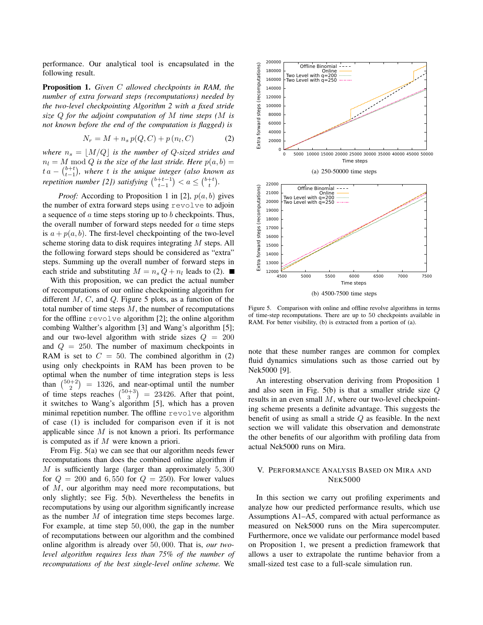performance. Our analytical tool is encapsulated in the following result.

Proposition 1. *Given* C *allowed checkpoints in RAM, the number of extra forward steps (recomputations) needed by the two-level checkpointing Algorithm 2 with a fixed stride size* Q *for the adjoint computation of* M *time steps (*M *is not known before the end of the computation is flagged) is*

$$
N_r = M + n_s \, p(Q, C) + p(n_l, C) \tag{2}
$$

*where*  $n_s = |M/Q|$  *is the number of Q-sized strides and*  $n_l = M \text{ mod } Q$  *is the size of the last stride. Here*  $p(a, b) =$  $t a - \binom{b+t}{t-1}$ , where *t* is the unique integer (also known as *repetition number [2]) satisfying*  $\binom{b+t-1}{t-1} < a \leq \binom{b+t}{t}$ .

*Proof:* According to Proposition 1 in [2],  $p(a, b)$  gives the number of extra forward steps using revolve to adjoin a sequence of  $\alpha$  time steps storing up to  $\beta$  checkpoints. Thus, the overall number of forward steps needed for  $a$  time steps is  $a + p(a, b)$ . The first-level checkpointing of the two-level scheme storing data to disk requires integrating M steps. All the following forward steps should be considered as "extra" steps. Summing up the overall number of forward steps in each stride and substituting  $M = n_s Q + n_l$  leads to (2).

With this proposition, we can predict the actual number of recomputations of our online checkpointing algorithm for different  $M$ ,  $C$ , and  $Q$ . Figure 5 plots, as a function of the total number of time steps  $M$ , the number of recomputations for the offline revolve algorithm [2]; the online algorithm combing Walther's algorithm [3] and Wang's algorithm [5]; and our two-level algorithm with stride sizes  $Q = 200$ and  $Q = 250$ . The number of maximum checkpoints in RAM is set to  $C = 50$ . The combined algorithm in (2) using only checkpoints in RAM has been proven to be optimal when the number of time integration steps is less than  $\binom{50+2}{2}$  = 1326, and near-optimal until the number of time steps reaches  $\binom{50+3}{3}$  = 23426. After that point, it switches to Wang's algorithm [5], which has a proven minimal repetition number. The offline revolve algorithm of case (1) is included for comparison even if it is not applicable since  $M$  is not known a priori. Its performance is computed as if M were known a priori.

From Fig. 5(a) we can see that our algorithm needs fewer recomputations than does the combined online algorithm if  $M$  is sufficiently large (larger than approximately 5,300) for  $Q = 200$  and 6,550 for  $Q = 250$ . For lower values of M, our algorithm may need more recomputations, but only slightly; see Fig. 5(b). Nevertheless the benefits in recomputations by using our algorithm significantly increase as the number M of integration time steps becomes large. For example, at time step 50, 000, the gap in the number of recomputations between our algorithm and the combined online algorithm is already over 50, 000. That is, *our twolevel algorithm requires less than 75% of the number of recomputations of the best single-level online scheme.* We



Figure 5. Comparison with online and offline revolve algorithms in terms of time-step recomputations. There are up to 50 checkpoints available in RAM. For better visibility, (b) is extracted from a portion of (a).

note that these number ranges are common for complex fluid dynamics simulations such as those carried out by Nek5000 [9].

An interesting observation deriving from Proposition 1 and also seen in Fig. 5(b) is that a smaller stride size Q results in an even small M, where our two-level checkpointing scheme presents a definite advantage. This suggests the benefit of using as small a stride  $Q$  as feasible. In the next section we will validate this observation and demonstrate the other benefits of our algorithm with profiling data from actual Nek5000 runs on Mira.

# V. PERFORMANCE ANALYSIS BASED ON MIRA AND NEK5000

In this section we carry out profiling experiments and analyze how our predicted performance results, which use Assumptions A1–A5, compared with actual performance as measured on Nek5000 runs on the Mira supercomputer. Furthermore, once we validate our performance model based on Proposition 1, we present a prediction framework that allows a user to extrapolate the runtime behavior from a small-sized test case to a full-scale simulation run.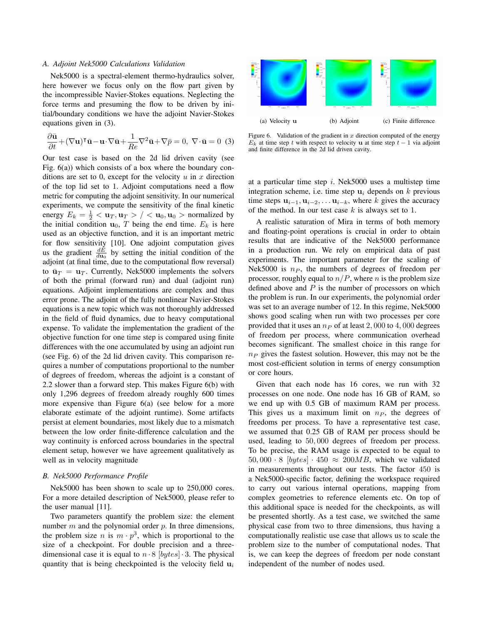## *A. Adjoint Nek5000 Calculations Validation*

Nek5000 is a spectral-element thermo-hydraulics solver, here however we focus only on the flow part given by the incompressible Navier-Stokes equations. Neglecting the force terms and presuming the flow to be driven by initial/boundary conditions we have the adjoint Navier-Stokes equations given in (3).

$$
\frac{\partial \bar{\mathbf{u}}}{\partial t} + (\nabla \mathbf{u})^{\mathsf{T}} \bar{\mathbf{u}} - \mathbf{u} \cdot \nabla \bar{\mathbf{u}} + \frac{1}{Re} \nabla^2 \bar{\mathbf{u}} + \nabla \bar{p} = 0, \ \nabla \cdot \bar{\mathbf{u}} = 0 \tag{3}
$$

Our test case is based on the 2d lid driven cavity (see Fig. 6(a)) which consists of a box where the boundary conditions are set to 0, except for the velocity  $u$  in  $x$  direction of the top lid set to 1. Adjoint computations need a flow metric for computing the adjoint sensitivity. In our numerical experiments, we compute the sensitivity of the final kinetic energy  $E_k = \frac{1}{2} < \mathbf{u}_T, \mathbf{u}_T > / < \mathbf{u}_0, \mathbf{u}_0 >$  normalized by the initial condition  $\mathbf{u}_0$ , T being the end time.  $E_k$  is here used as an objective function, and it is an important metric for flow sensitivity [10]. One adjoint computation gives us the gradient  $\frac{dE}{du_0}$  by setting the initial condition of the adjoint (at final time, due to the computational flow reversal) to  $\bar{\mathbf{u}}_T = \mathbf{u}_T$ . Currently, Nek5000 implements the solvers of both the primal (forward run) and dual (adjoint run) equations. Adjoint implementations are complex and thus error prone. The adjoint of the fully nonlinear Navier-Stokes equations is a new topic which was not thoroughly addressed in the field of fluid dynamics, due to heavy computational expense. To validate the implementation the gradient of the objective function for one time step is compared using finite differences with the one accumulated by using an adjoint run (see Fig. 6) of the 2d lid driven cavity. This comparison requires a number of computations proportional to the number of degrees of freedom, whereas the adjoint is a constant of 2.2 slower than a forward step. This makes Figure 6(b) with only 1,296 degrees of freedom already roughly 600 times more expensive than Figure 6(a) (see below for a more elaborate estimate of the adjoint runtime). Some artifacts persist at element boundaries, most likely due to a mismatch between the low order finite-difference calculation and the way continuity is enforced across boundaries in the spectral element setup, however we have agreement qualitatively as well as in velocity magnitude

# *B. Nek5000 Performance Profile*

Nek5000 has been shown to scale up to 250,000 cores. For a more detailed description of Nek5000, please refer to the user manual [11].

Two parameters quantify the problem size: the element number  $m$  and the polynomial order  $p$ . In three dimensions, the problem size *n* is  $m \cdot p^3$ , which is proportional to the size of a checkpoint. For double precision and a threedimensional case it is equal to  $n \cdot 8$  [bytes]  $\cdot 3$ . The physical quantity that is being checkpointed is the velocity field  $\mathbf{u}_i$ 



Figure 6. Validation of the gradient in  $x$  direction computed of the energy  $E_k$  at time step t with respect to velocity u at time step  $t - 1$  via adjoint and finite difference in the 2d lid driven cavity.

at a particular time step  $i$ . Nek5000 uses a multistep time integration scheme, i.e. time step  $\mathbf{u}_i$  depends on k previous time steps  $\mathbf{u}_{i-1}, \mathbf{u}_{i-2}, \dots \mathbf{u}_{i-k}$ , where k gives the accuracy of the method. In our test case  $k$  is always set to 1.

A realistic saturation of Mira in terms of both memory and floating-point operations is crucial in order to obtain results that are indicative of the Nek5000 performance in a production run. We rely on empirical data of past experiments. The important parameter for the scaling of Nek5000 is  $n_P$ , the numbers of degrees of freedom per processor, roughly equal to  $n/P$ , where n is the problem size defined above and  $P$  is the number of processors on which the problem is run. In our experiments, the polynomial order was set to an average number of 12. In this regime, Nek5000 shows good scaling when run with two processes per core provided that it uses an  $n_P$  of at least 2, 000 to 4, 000 degrees of freedom per process, where communication overhead becomes significant. The smallest choice in this range for  $n_P$  gives the fastest solution. However, this may not be the most cost-efficient solution in terms of energy consumption or core hours.

Given that each node has 16 cores, we run with 32 processes on one node. One node has 16 GB of RAM, so we end up with 0.5 GB of maximum RAM per process. This gives us a maximum limit on  $n_P$ , the degrees of freedoms per process. To have a representative test case, we assumed that 0.25 GB of RAM per process should be used, leading to 50, 000 degrees of freedom per process. To be precise, the RAM usage is expected to be equal to 50, 000  $\cdot$  8 [bytes]  $\cdot$  450  $\approx$  200MB, which we validated in measurements throughout our tests. The factor 450 is a Nek5000-specific factor, defining the workspace required to carry out various internal operations, mapping from complex geometries to reference elements etc. On top of this additional space is needed for the checkpoints, as will be presented shortly. As a test case, we switched the same physical case from two to three dimensions, thus having a computationally realistic use case that allows us to scale the problem size to the number of computational nodes. That is, we can keep the degrees of freedom per node constant independent of the number of nodes used.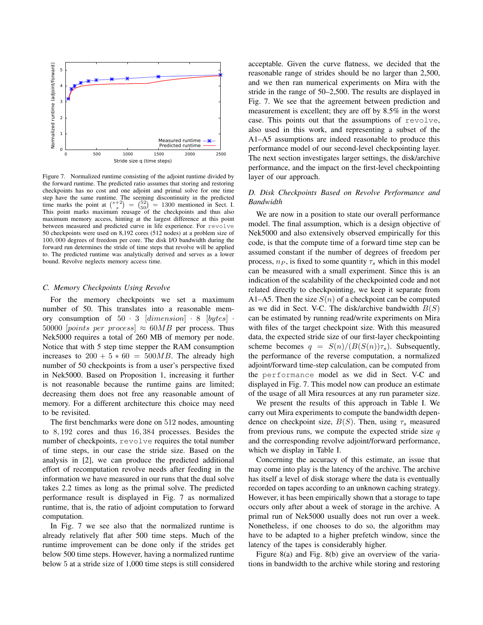

Figure 7. Normalized runtime consisting of the adjoint runtime divided by the forward runtime. The predicted ratio assumes that storing and restoring checkpoints has no cost and one adjoint and primal solve for one time step have the same runtime. The seeming discontinuity in the predicted time marks the point at  $\binom{s+2}{s} = \binom{52}{50} = 1300$  mentioned in Sect. I. This point marks maximum reusage of the checkpoints and thus also maximum memory access, hinting at the largest difference at this point between measured and predicted curve in life experience. For revolve 50 checkpoints were used on 8,192 cores (512 nodes) at a problem size of 100, 000 degrees of freedom per core. The disk I/O bandwidth during the forward run determines the stride of time steps that revolve will be applied to. The predicted runtime was analytically derived and serves as a lower bound. Revolve neglects memory access time.

## *C. Memory Checkpoints Using Revolve*

For the memory checkpoints we set a maximum number of 50. This translates into a reasonable memory consumption of  $50 \cdot 3$  [dimension]  $\cdot 8$  [bytes]  $\cdot$ 50000 [points per process]  $\approx 60MB$  per process. Thus Nek5000 requires a total of 260 MB of memory per node. Notice that with 5 step time stepper the RAM consumption increases to  $200 + 5 * 60 = 500MB$ . The already high number of 50 checkpoints is from a user's perspective fixed in Nek5000. Based on Proposition 1, increasing it further is not reasonable because the runtime gains are limited; decreasing them does not free any reasonable amount of memory. For a different architecture this choice may need to be revisited.

The first benchmarks were done on 512 nodes, amounting to 8, 192 cores and thus 16, 384 processes. Besides the number of checkpoints, revolve requires the total number of time steps, in our case the stride size. Based on the analysis in [2], we can produce the predicted additional effort of recomputation revolve needs after feeding in the information we have measured in our runs that the dual solve takes 2.2 times as long as the primal solve. The predicted performance result is displayed in Fig. 7 as normalized runtime, that is, the ratio of adjoint computation to forward computation.

In Fig. 7 we see also that the normalized runtime is already relatively flat after 500 time steps. Much of the runtime improvement can be done only if the strides get below 500 time steps. However, having a normalized runtime below 5 at a stride size of 1,000 time steps is still considered acceptable. Given the curve flatness, we decided that the reasonable range of strides should be no larger than 2,500, and we then ran numerical experiments on Mira with the stride in the range of 50–2,500. The results are displayed in Fig. 7. We see that the agreement between prediction and measurement is excellent; they are off by 8.5% in the worst case. This points out that the assumptions of revolve, also used in this work, and representing a subset of the A1–A5 assumptions are indeed reasonable to produce this performance model of our second-level checkpointing layer. The next section investigates larger settings, the disk/archive performance, and the impact on the first-level checkpointing layer of our approach.

# *D. Disk Checkpoints Based on Revolve Performance and Bandwidth*

We are now in a position to state our overall performance model. The final assumption, which is a design objective of Nek5000 and also extensively observed empirically for this code, is that the compute time of a forward time step can be assumed constant if the number of degrees of freedom per process,  $n_P$ , is fixed to some quantity  $\tau_s$  which in this model can be measured with a small experiment. Since this is an indication of the scalability of the checkpointed code and not related directly to checkpointing, we keep it separate from A1–A5. Then the size  $S(n)$  of a checkpoint can be computed as we did in Sect. V-C. The disk/archive bandwidth  $B(S)$ can be estimated by running read/write experiments on Mira with files of the target checkpoint size. With this measured data, the expected stride size of our first-layer checkpointing scheme becomes  $q = S(n)/(B(S(n))\tau_s)$ . Subsequently, the performance of the reverse computation, a normalized adjoint/forward time-step calculation, can be computed from the performance model as we did in Sect. V-C and displayed in Fig. 7. This model now can produce an estimate of the usage of all Mira resources at any run parameter size.

We present the results of this approach in Table I. We carry out Mira experiments to compute the bandwidth dependence on checkpoint size,  $B(S)$ . Then, using  $\tau_s$  measured from previous runs, we compute the expected stride size  $q$ and the corresponding revolve adjoint/forward performance, which we display in Table I.

Concerning the accuracy of this estimate, an issue that may come into play is the latency of the archive. The archive has itself a level of disk storage where the data is eventually recorded on tapes according to an unknown caching strategy. However, it has been empirically shown that a storage to tape occurs only after about a week of storage in the archive. A primal run of Nek5000 usually does not run over a week. Nonetheless, if one chooses to do so, the algorithm may have to be adapted to a higher prefetch window, since the latency of the tapes is considerably higher.

Figure 8(a) and Fig. 8(b) give an overview of the variations in bandwidth to the archive while storing and restoring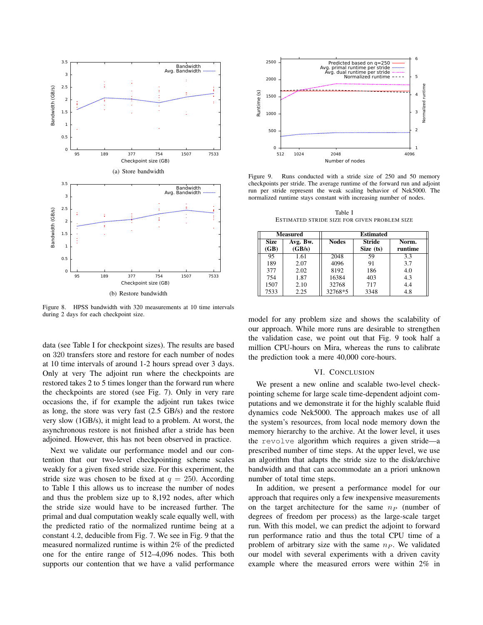

Figure 8. HPSS bandwidth with 320 measurements at 10 time intervals during 2 days for each checkpoint size.

data (see Table I for checkpoint sizes). The results are based on 320 transfers store and restore for each number of nodes at 10 time intervals of around 1-2 hours spread over 3 days. Only at very The adjoint run where the checkpoints are restored takes 2 to 5 times longer than the forward run where the checkpoints are stored (see Fig. 7). Only in very rare occasions the, if for example the adjoint run takes twice as long, the store was very fast (2.5 GB/s) and the restore very slow (1GB/s), it might lead to a problem. At worst, the asynchronous restore is not finished after a stride has been adjoined. However, this has not been observed in practice.

Next we validate our performance model and our contention that our two-level checkpointing scheme scales weakly for a given fixed stride size. For this experiment, the stride size was chosen to be fixed at  $q = 250$ . According to Table I this allows us to increase the number of nodes and thus the problem size up to 8,192 nodes, after which the stride size would have to be increased further. The primal and dual computation weakly scale equally well, with the predicted ratio of the normalized runtime being at a constant 4.2, deducible from Fig. 7. We see in Fig. 9 that the measured normalized runtime is within 2% of the predicted one for the entire range of 512–4,096 nodes. This both supports our contention that we have a valid performance



Figure 9. Runs conducted with a stride size of 250 and 50 memory checkpoints per stride. The average runtime of the forward run and adjoint run per stride represent the weak scaling behavior of Nek5000. The normalized runtime stays constant with increasing number of nodes.

Table I ESTIMATED STRIDE SIZE FOR GIVEN PROBLEM SIZE

|                     | <b>Measured</b>    | Estimated    |                            |                  |  |
|---------------------|--------------------|--------------|----------------------------|------------------|--|
| <b>Size</b><br>(GB) | Avg. Bw.<br>(GB/s) | <b>Nodes</b> | <b>Stride</b><br>Size (ts) | Norm.<br>runtime |  |
| 95                  | 1.61               | 2048         | 59                         | 3.3              |  |
| 189                 | 2.07               | 4096         | 91                         | 3.7              |  |
| 377                 | 2.02               | 8192         | 186                        | 4.0              |  |
| 754                 | 1.87               | 16384        | 403                        | 4.3              |  |
| 1507                | 2.10               | 32768        | 717                        | 4.4              |  |
| 7533                | 2.25               | 32768*5      | 3348                       | 4.8              |  |

model for any problem size and shows the scalability of our approach. While more runs are desirable to strengthen the validation case, we point out that Fig. 9 took half a million CPU-hours on Mira, whereas the runs to calibrate the prediction took a mere 40,000 core-hours.

### VI. CONCLUSION

We present a new online and scalable two-level checkpointing scheme for large scale time-dependent adjoint computations and we demonstrate it for the highly scalable fluid dynamics code Nek5000. The approach makes use of all the system's resources, from local node memory down the memory hierarchy to the archive. At the lower level, it uses the revolve algorithm which requires a given stride—a prescribed number of time steps. At the upper level, we use an algorithm that adapts the stride size to the disk/archive bandwidth and that can accommodate an a priori unknown number of total time steps.

In addition, we present a performance model for our approach that requires only a few inexpensive measurements on the target architecture for the same  $n_P$  (number of degrees of freedom per process) as the large-scale target run. With this model, we can predict the adjoint to forward run performance ratio and thus the total CPU time of a problem of arbitrary size with the same  $n_P$ . We validated our model with several experiments with a driven cavity example where the measured errors were within 2% in